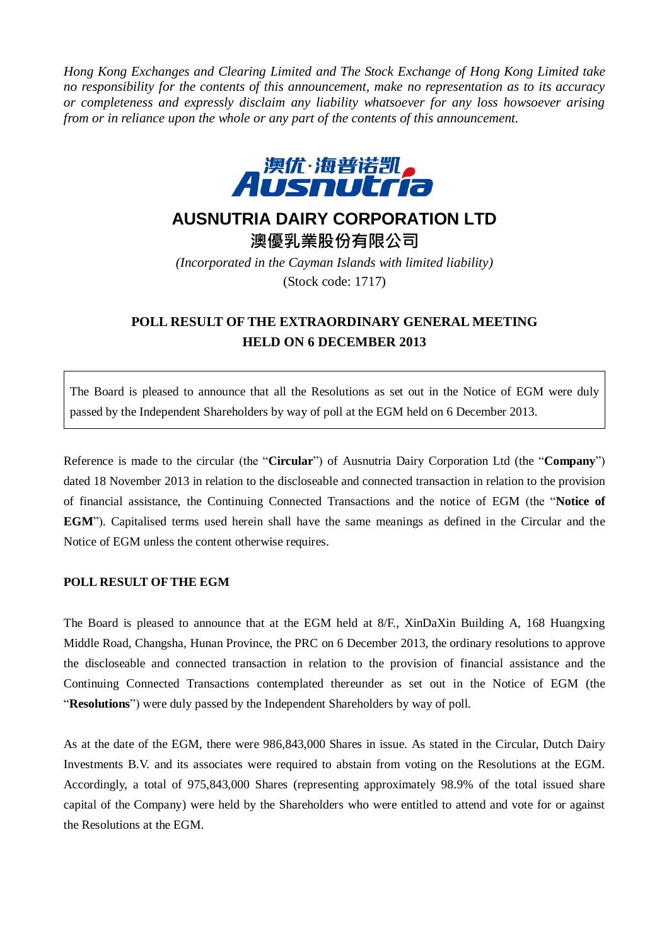*Hong Kong Exchanges and Clearing Limited and The Stock Exchange of Hong Kong Limited take no responsibility for the contents of this announcement, make no representation as to its accuracy or completeness and expressly disclaim any liability whatsoever for any loss howsoever arising from or in reliance upon the whole or any part of the contents of this announcement.*



## **AUSNUTRIA DAIRY CORPORATION LTD**

澳優乳業股份有限公司

*(Incorporated in the Cayman Islands with limited liability)* (Stock code: 1717)

## **POLL RESULT OF THE EXTRAORDINARY GENERAL MEETING HELD ON 6 DECEMBER 2013**

The Board is pleased to announce that all the Resolutions as set out in the Notice of EGM were duly passed by the Independent Shareholders by way of poll at the EGM held on 6 December 2013.

Reference is made to the circular (the "**Circular**") of Ausnutria Dairy Corporation Ltd (the "**Company**") dated 18 November 2013 in relation to the discloseable and connected transaction in relation to the provision of financial assistance, the Continuing Connected Transactions and the notice of EGM (the "**Notice of EGM**"). Capitalised terms used herein shall have the same meanings as defined in the Circular and the Notice of EGM unless the content otherwise requires.

## **POLL RESULT OF THE EGM**

The Board is pleased to announce that at the EGM held at 8/F., XinDaXin Building A, 168 Huangxing Middle Road, Changsha, Hunan Province, the PRC on 6 December 2013, the ordinary resolutions to approve the discloseable and connected transaction in relation to the provision of financial assistance and the Continuing Connected Transactions contemplated thereunder as set out in the Notice of EGM (the "**Resolutions**") were duly passed by the Independent Shareholders by way of poll.

As at the date of the EGM, there were 986,843,000 Shares in issue. As stated in the Circular, Dutch Dairy Investments B.V. and its associates were required to abstain from voting on the Resolutions at the EGM. Accordingly, a total of 975,843,000 Shares (representing approximately 98.9% of the total issued share capital of the Company) were held by the Shareholders who were entitled to attend and vote for or against the Resolutions at the EGM.